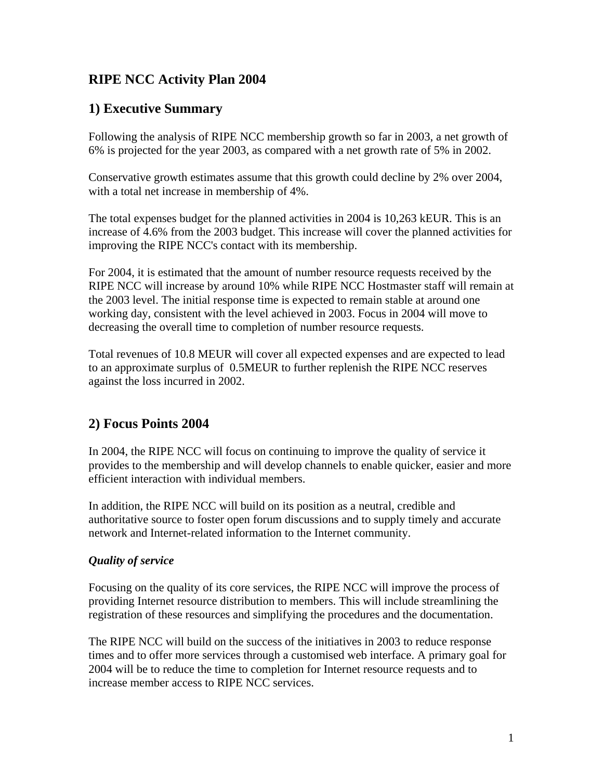# **RIPE NCC Activity Plan 2004**

## **1) Executive Summary**

Following the analysis of RIPE NCC membership growth so far in 2003, a net growth of 6% is projected for the year 2003, as compared with a net growth rate of 5% in 2002.

Conservative growth estimates assume that this growth could decline by 2% over 2004, with a total net increase in membership of 4%.

The total expenses budget for the planned activities in 2004 is 10,263 kEUR. This is an increase of 4.6% from the 2003 budget. This increase will cover the planned activities for improving the RIPE NCC's contact with its membership.

For 2004, it is estimated that the amount of number resource requests received by the RIPE NCC will increase by around 10% while RIPE NCC Hostmaster staff will remain at the 2003 level. The initial response time is expected to remain stable at around one working day, consistent with the level achieved in 2003. Focus in 2004 will move to decreasing the overall time to completion of number resource requests.

Total revenues of 10.8 MEUR will cover all expected expenses and are expected to lead to an approximate surplus of 0.5MEUR to further replenish the RIPE NCC reserves against the loss incurred in 2002.

# **2) Focus Points 2004**

In 2004, the RIPE NCC will focus on continuing to improve the quality of service it provides to the membership and will develop channels to enable quicker, easier and more efficient interaction with individual members.

In addition, the RIPE NCC will build on its position as a neutral, credible and authoritative source to foster open forum discussions and to supply timely and accurate network and Internet-related information to the Internet community.

## *Quality of service*

Focusing on the quality of its core services, the RIPE NCC will improve the process of providing Internet resource distribution to members. This will include streamlining the registration of these resources and simplifying the procedures and the documentation.

The RIPE NCC will build on the success of the initiatives in 2003 to reduce response times and to offer more services through a customised web interface. A primary goal for 2004 will be to reduce the time to completion for Internet resource requests and to increase member access to RIPE NCC services.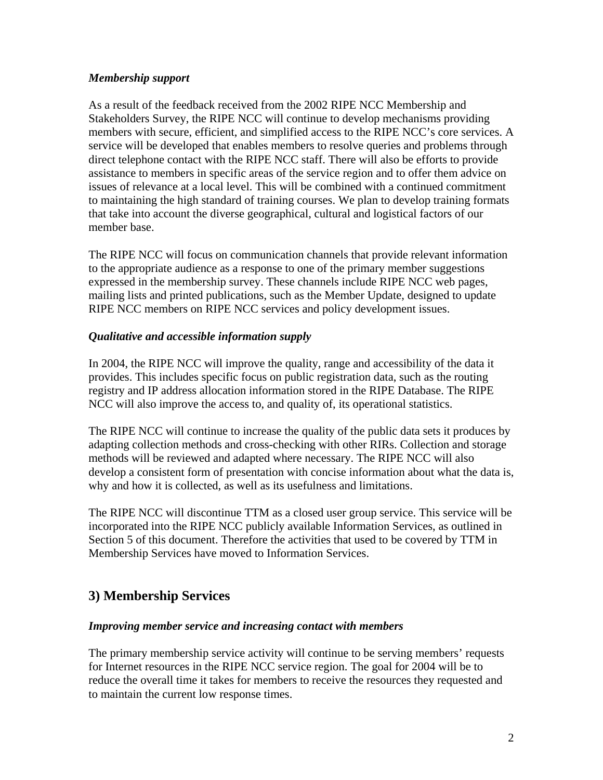#### *Membership support*

As a result of the feedback received from the 2002 RIPE NCC Membership and Stakeholders Survey, the RIPE NCC will continue to develop mechanisms providing members with secure, efficient, and simplified access to the RIPE NCC's core services. A service will be developed that enables members to resolve queries and problems through direct telephone contact with the RIPE NCC staff. There will also be efforts to provide assistance to members in specific areas of the service region and to offer them advice on issues of relevance at a local level. This will be combined with a continued commitment to maintaining the high standard of training courses. We plan to develop training formats that take into account the diverse geographical, cultural and logistical factors of our member base.

The RIPE NCC will focus on communication channels that provide relevant information to the appropriate audience as a response to one of the primary member suggestions expressed in the membership survey. These channels include RIPE NCC web pages, mailing lists and printed publications, such as the Member Update, designed to update RIPE NCC members on RIPE NCC services and policy development issues.

### *Qualitative and accessible information supply*

In 2004, the RIPE NCC will improve the quality, range and accessibility of the data it provides. This includes specific focus on public registration data, such as the routing registry and IP address allocation information stored in the RIPE Database. The RIPE NCC will also improve the access to, and quality of, its operational statistics.

The RIPE NCC will continue to increase the quality of the public data sets it produces by adapting collection methods and cross-checking with other RIRs. Collection and storage methods will be reviewed and adapted where necessary. The RIPE NCC will also develop a consistent form of presentation with concise information about what the data is, why and how it is collected, as well as its usefulness and limitations.

The RIPE NCC will discontinue TTM as a closed user group service. This service will be incorporated into the RIPE NCC publicly available Information Services, as outlined in Section 5 of this document. Therefore the activities that used to be covered by TTM in Membership Services have moved to Information Services.

# **3) Membership Services**

### *Improving member service and increasing contact with members*

The primary membership service activity will continue to be serving members' requests for Internet resources in the RIPE NCC service region. The goal for 2004 will be to reduce the overall time it takes for members to receive the resources they requested and to maintain the current low response times.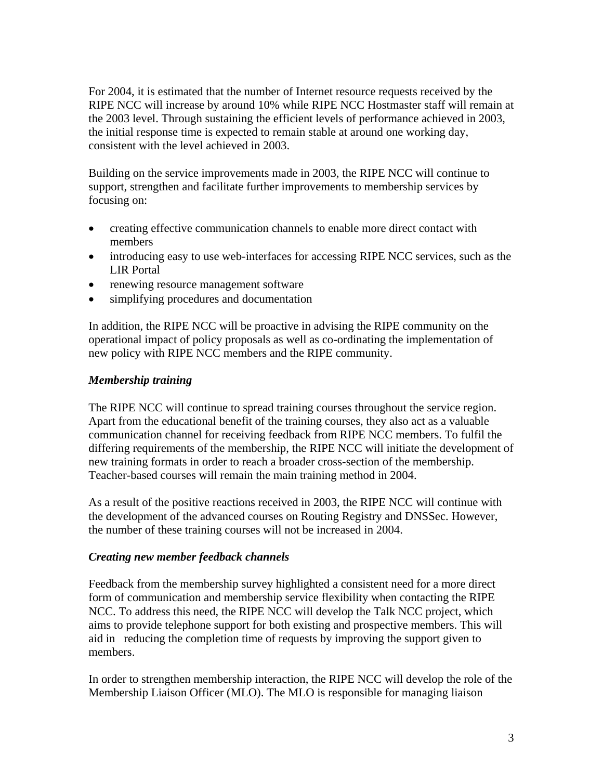For 2004, it is estimated that the number of Internet resource requests received by the RIPE NCC will increase by around 10% while RIPE NCC Hostmaster staff will remain at the 2003 level. Through sustaining the efficient levels of performance achieved in 2003, the initial response time is expected to remain stable at around one working day, consistent with the level achieved in 2003.

Building on the service improvements made in 2003, the RIPE NCC will continue to support, strengthen and facilitate further improvements to membership services by focusing on:

- creating effective communication channels to enable more direct contact with members
- introducing easy to use web-interfaces for accessing RIPE NCC services, such as the LIR Portal
- renewing resource management software
- simplifying procedures and documentation

In addition, the RIPE NCC will be proactive in advising the RIPE community on the operational impact of policy proposals as well as co-ordinating the implementation of new policy with RIPE NCC members and the RIPE community.

### *Membership training*

The RIPE NCC will continue to spread training courses throughout the service region. Apart from the educational benefit of the training courses, they also act as a valuable communication channel for receiving feedback from RIPE NCC members. To fulfil the differing requirements of the membership, the RIPE NCC will initiate the development of new training formats in order to reach a broader cross-section of the membership. Teacher-based courses will remain the main training method in 2004.

As a result of the positive reactions received in 2003, the RIPE NCC will continue with the development of the advanced courses on Routing Registry and DNSSec. However, the number of these training courses will not be increased in 2004.

### *Creating new member feedback channels*

Feedback from the membership survey highlighted a consistent need for a more direct form of communication and membership service flexibility when contacting the RIPE NCC. To address this need, the RIPE NCC will develop the Talk NCC project, which aims to provide telephone support for both existing and prospective members. This will aid in reducing the completion time of requests by improving the support given to members.

In order to strengthen membership interaction, the RIPE NCC will develop the role of the Membership Liaison Officer (MLO). The MLO is responsible for managing liaison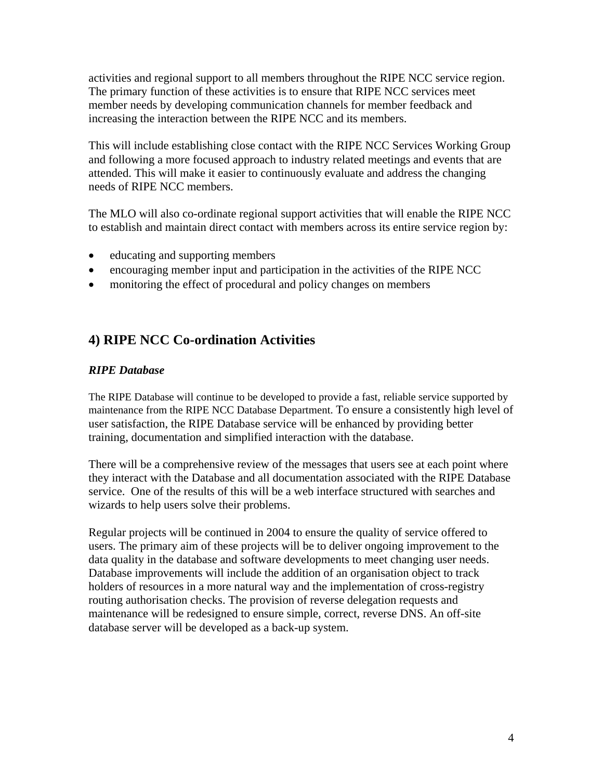activities and regional support to all members throughout the RIPE NCC service region. The primary function of these activities is to ensure that RIPE NCC services meet member needs by developing communication channels for member feedback and increasing the interaction between the RIPE NCC and its members.

This will include establishing close contact with the RIPE NCC Services Working Group and following a more focused approach to industry related meetings and events that are attended. This will make it easier to continuously evaluate and address the changing needs of RIPE NCC members.

The MLO will also co-ordinate regional support activities that will enable the RIPE NCC to establish and maintain direct contact with members across its entire service region by:

- educating and supporting members
- encouraging member input and participation in the activities of the RIPE NCC
- monitoring the effect of procedural and policy changes on members

## **4) RIPE NCC Co-ordination Activities**

#### *RIPE Database*

The RIPE Database will continue to be developed to provide a fast, reliable service supported by maintenance from the RIPE NCC Database Department. To ensure a consistently high level of user satisfaction, the RIPE Database service will be enhanced by providing better training, documentation and simplified interaction with the database.

There will be a comprehensive review of the messages that users see at each point where they interact with the Database and all documentation associated with the RIPE Database service. One of the results of this will be a web interface structured with searches and wizards to help users solve their problems.

Regular projects will be continued in 2004 to ensure the quality of service offered to users. The primary aim of these projects will be to deliver ongoing improvement to the data quality in the database and software developments to meet changing user needs. Database improvements will include the addition of an organisation object to track holders of resources in a more natural way and the implementation of cross-registry routing authorisation checks. The provision of reverse delegation requests and maintenance will be redesigned to ensure simple, correct, reverse DNS. An off-site database server will be developed as a back-up system.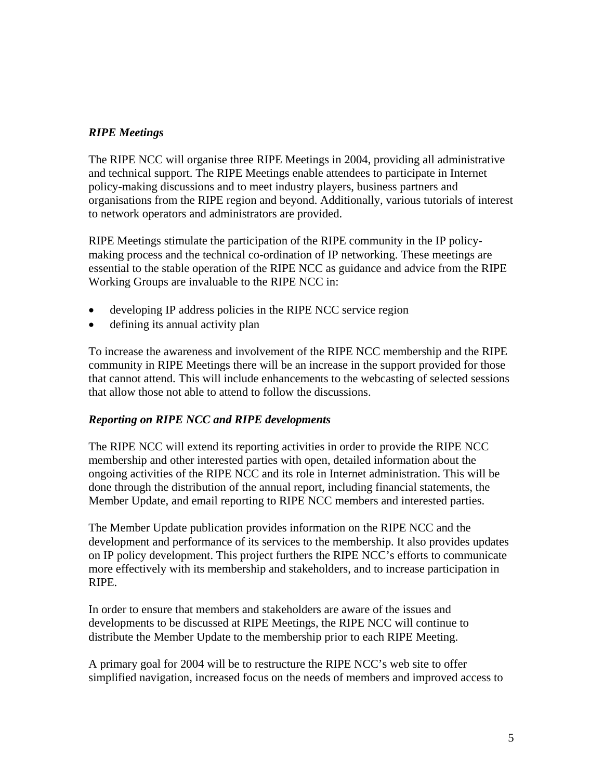### *RIPE Meetings*

The RIPE NCC will organise three RIPE Meetings in 2004, providing all administrative and technical support. The RIPE Meetings enable attendees to participate in Internet policy-making discussions and to meet industry players, business partners and organisations from the RIPE region and beyond. Additionally, various tutorials of interest to network operators and administrators are provided.

RIPE Meetings stimulate the participation of the RIPE community in the IP policymaking process and the technical co-ordination of IP networking. These meetings are essential to the stable operation of the RIPE NCC as guidance and advice from the RIPE Working Groups are invaluable to the RIPE NCC in:

- developing IP address policies in the RIPE NCC service region
- defining its annual activity plan

To increase the awareness and involvement of the RIPE NCC membership and the RIPE community in RIPE Meetings there will be an increase in the support provided for those that cannot attend. This will include enhancements to the webcasting of selected sessions that allow those not able to attend to follow the discussions.

### *Reporting on RIPE NCC and RIPE developments*

The RIPE NCC will extend its reporting activities in order to provide the RIPE NCC membership and other interested parties with open, detailed information about the ongoing activities of the RIPE NCC and its role in Internet administration. This will be done through the distribution of the annual report, including financial statements, the Member Update, and email reporting to RIPE NCC members and interested parties.

The Member Update publication provides information on the RIPE NCC and the development and performance of its services to the membership. It also provides updates on IP policy development. This project furthers the RIPE NCC's efforts to communicate more effectively with its membership and stakeholders, and to increase participation in RIPE.

In order to ensure that members and stakeholders are aware of the issues and developments to be discussed at RIPE Meetings, the RIPE NCC will continue to distribute the Member Update to the membership prior to each RIPE Meeting.

A primary goal for 2004 will be to restructure the RIPE NCC's web site to offer simplified navigation, increased focus on the needs of members and improved access to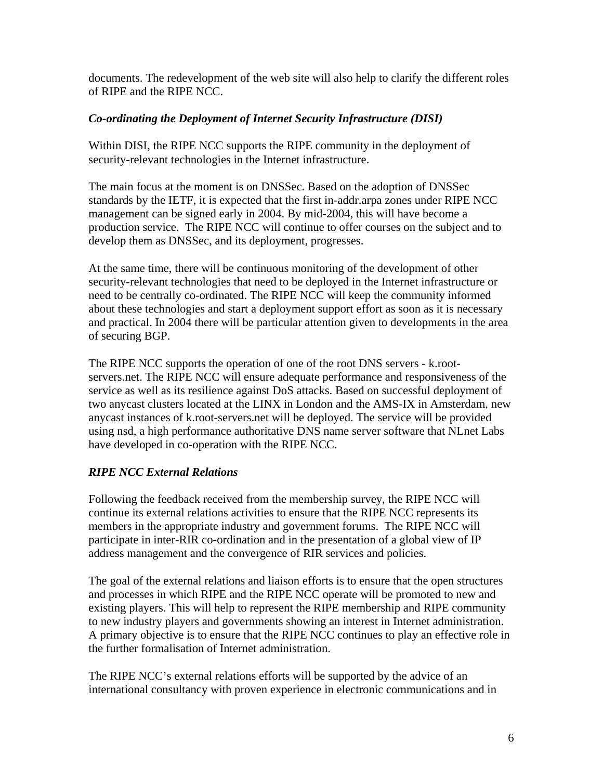documents. The redevelopment of the web site will also help to clarify the different roles of RIPE and the RIPE NCC.

### *Co-ordinating the Deployment of Internet Security Infrastructure (DISI)*

Within DISI, the RIPE NCC supports the RIPE community in the deployment of security-relevant technologies in the Internet infrastructure.

The main focus at the moment is on DNSSec. Based on the adoption of DNSSec standards by the IETF, it is expected that the first in-addr.arpa zones under RIPE NCC management can be signed early in 2004. By mid-2004, this will have become a production service. The RIPE NCC will continue to offer courses on the subject and to develop them as DNSSec, and its deployment, progresses.

At the same time, there will be continuous monitoring of the development of other security-relevant technologies that need to be deployed in the Internet infrastructure or need to be centrally co-ordinated. The RIPE NCC will keep the community informed about these technologies and start a deployment support effort as soon as it is necessary and practical. In 2004 there will be particular attention given to developments in the area of securing BGP.

The RIPE NCC supports the operation of one of the root DNS servers - k.rootservers.net. The RIPE NCC will ensure adequate performance and responsiveness of the service as well as its resilience against DoS attacks. Based on successful deployment of two anycast clusters located at the LINX in London and the AMS-IX in Amsterdam, new anycast instances of k.root-servers.net will be deployed. The service will be provided using nsd, a high performance authoritative DNS name server software that NLnet Labs have developed in co-operation with the RIPE NCC.

## *RIPE NCC External Relations*

Following the feedback received from the membership survey, the RIPE NCC will continue its external relations activities to ensure that the RIPE NCC represents its members in the appropriate industry and government forums. The RIPE NCC will participate in inter-RIR co-ordination and in the presentation of a global view of IP address management and the convergence of RIR services and policies.

The goal of the external relations and liaison efforts is to ensure that the open structures and processes in which RIPE and the RIPE NCC operate will be promoted to new and existing players. This will help to represent the RIPE membership and RIPE community to new industry players and governments showing an interest in Internet administration. A primary objective is to ensure that the RIPE NCC continues to play an effective role in the further formalisation of Internet administration.

The RIPE NCC's external relations efforts will be supported by the advice of an international consultancy with proven experience in electronic communications and in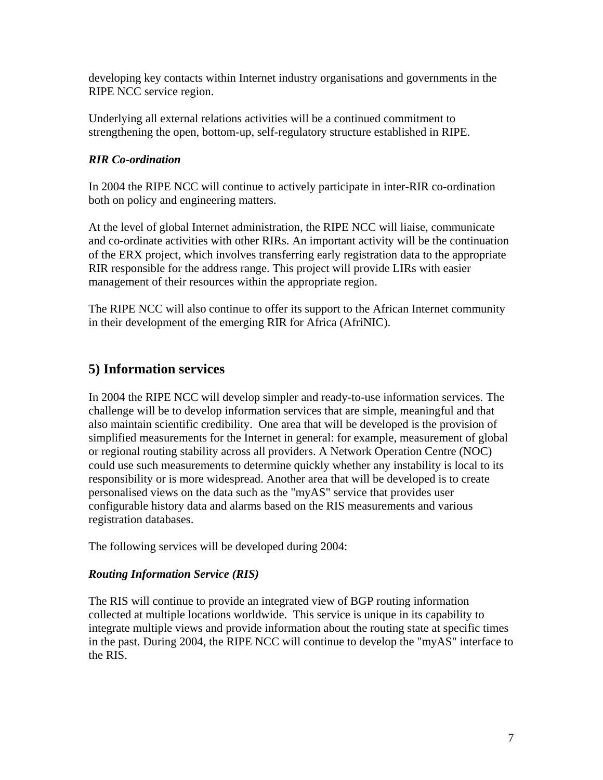developing key contacts within Internet industry organisations and governments in the RIPE NCC service region.

Underlying all external relations activities will be a continued commitment to strengthening the open, bottom-up, self-regulatory structure established in RIPE.

### *RIR Co-ordination*

In 2004 the RIPE NCC will continue to actively participate in inter-RIR co-ordination both on policy and engineering matters.

At the level of global Internet administration, the RIPE NCC will liaise, communicate and co-ordinate activities with other RIRs. An important activity will be the continuation of the ERX project, which involves transferring early registration data to the appropriate RIR responsible for the address range. This project will provide LIRs with easier management of their resources within the appropriate region.

The RIPE NCC will also continue to offer its support to the African Internet community in their development of the emerging RIR for Africa (AfriNIC).

## **5) Information services**

In 2004 the RIPE NCC will develop simpler and ready-to-use information services. The challenge will be to develop information services that are simple, meaningful and that also maintain scientific credibility. One area that will be developed is the provision of simplified measurements for the Internet in general: for example, measurement of global or regional routing stability across all providers. A Network Operation Centre (NOC) could use such measurements to determine quickly whether any instability is local to its responsibility or is more widespread. Another area that will be developed is to create personalised views on the data such as the "myAS" service that provides user configurable history data and alarms based on the RIS measurements and various registration databases.

The following services will be developed during 2004:

#### *Routing Information Service (RIS)*

The RIS will continue to provide an integrated view of BGP routing information collected at multiple locations worldwide. This service is unique in its capability to integrate multiple views and provide information about the routing state at specific times in the past. During 2004, the RIPE NCC will continue to develop the "myAS" interface to the RIS.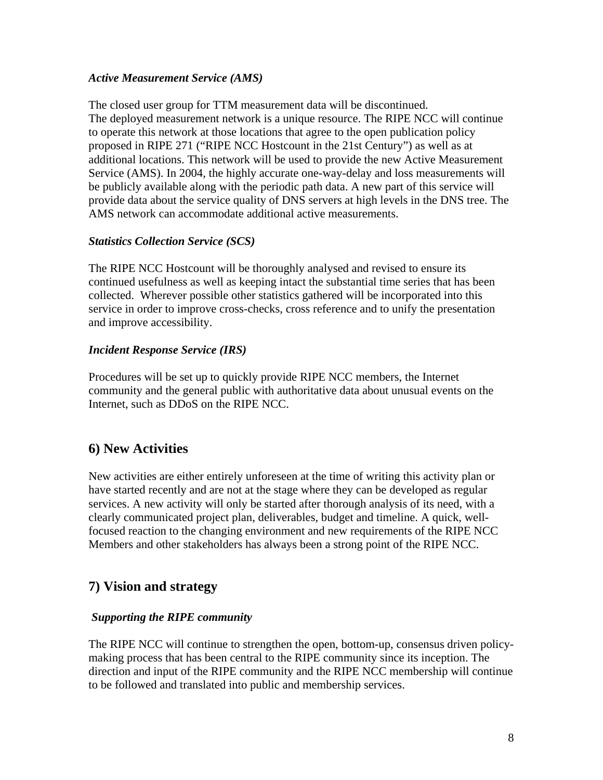#### *Active Measurement Service (AMS)*

The closed user group for TTM measurement data will be discontinued. The deployed measurement network is a unique resource. The RIPE NCC will continue to operate this network at those locations that agree to the open publication policy proposed in RIPE 271 ("RIPE NCC Hostcount in the 21st Century") as well as at additional locations. This network will be used to provide the new Active Measurement Service (AMS). In 2004, the highly accurate one-way-delay and loss measurements will be publicly available along with the periodic path data. A new part of this service will provide data about the service quality of DNS servers at high levels in the DNS tree. The AMS network can accommodate additional active measurements.

### *Statistics Collection Service (SCS)*

The RIPE NCC Hostcount will be thoroughly analysed and revised to ensure its continued usefulness as well as keeping intact the substantial time series that has been collected. Wherever possible other statistics gathered will be incorporated into this service in order to improve cross-checks, cross reference and to unify the presentation and improve accessibility.

#### *Incident Response Service (IRS)*

Procedures will be set up to quickly provide RIPE NCC members, the Internet community and the general public with authoritative data about unusual events on the Internet, such as DDoS on the RIPE NCC.

## **6) New Activities**

New activities are either entirely unforeseen at the time of writing this activity plan or have started recently and are not at the stage where they can be developed as regular services. A new activity will only be started after thorough analysis of its need, with a clearly communicated project plan, deliverables, budget and timeline. A quick, wellfocused reaction to the changing environment and new requirements of the RIPE NCC Members and other stakeholders has always been a strong point of the RIPE NCC.

## **7) Vision and strategy**

#### *Supporting the RIPE community*

The RIPE NCC will continue to strengthen the open, bottom-up, consensus driven policymaking process that has been central to the RIPE community since its inception. The direction and input of the RIPE community and the RIPE NCC membership will continue to be followed and translated into public and membership services.